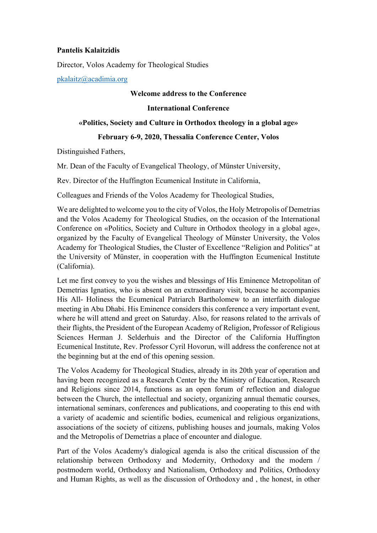# **Pantelis Kalaitzidis**

Director, Volos Academy for Theological Studies

pkalaitz@acadimia.org

## **Welcome address to the Conference**

### **International Conference**

#### **«Politics, Society and Culture in Orthodox theology in a global age»**

# **February 6-9, 2020, Thessalia Conference Center, Volos**

Distinguished Fathers,

Mr. Dean of the Faculty of Evangelical Theology, of Münster University,

Rev. Director of the Huffington Ecumenical Institute in California,

Colleagues and Friends of the Volos Academy for Theological Studies,

We are delighted to welcome you to the city of Volos, the Holy Metropolis of Demetrias and the Volos Academy for Theological Studies, on the occasion of the International Conference on «Politics, Society and Culture in Orthodox theology in a global age», organized by the Faculty of Evangelical Theology of Münster University, the Volos Academy for Theological Studies, the Cluster of Excellence "Religion and Politics" at the University of Münster, in cooperation with the Huffington Ecumenical Institute (California).

Let me first convey to you the wishes and blessings of His Eminence Metropolitan of Demetrias Ignatios, who is absent on an extraordinary visit, because he accompanies His All- Holiness the Ecumenical Patriarch Bartholomew to an interfaith dialogue meeting in Abu Dhabi. His Eminence considers this conference a very important event, where he will attend and greet on Saturday. Also, for reasons related to the arrivals of their flights, the President of the European Academy of Religion, Professor of Religious Sciences Herman J. Selderhuis and the Director of the California Huffington Ecumenical Institute, Rev. Professor Cyril Hovorun, will address the conference not at the beginning but at the end of this opening session.

The Volos Academy for Theological Studies, already in its 20th year of operation and having been recognized as a Research Center by the Ministry of Education, Research and Religions since 2014, functions as an open forum of reflection and dialogue between the Church, the intellectual and society, organizing annual thematic courses, international seminars, conferences and publications, and cooperating to this end with a variety of academic and scientific bodies, ecumenical and religious organizations, associations of the society of citizens, publishing houses and journals, making Volos and the Metropolis of Demetrias a place of encounter and dialogue.

Part of the Volos Academy's dialogical agenda is also the critical discussion of the relationship between Orthodoxy and Modernity, Orthodoxy and the modern / postmodern world, Orthodoxy and Nationalism, Orthodoxy and Politics, Orthodoxy and Human Rights, as well as the discussion of Orthodoxy and , the honest, in other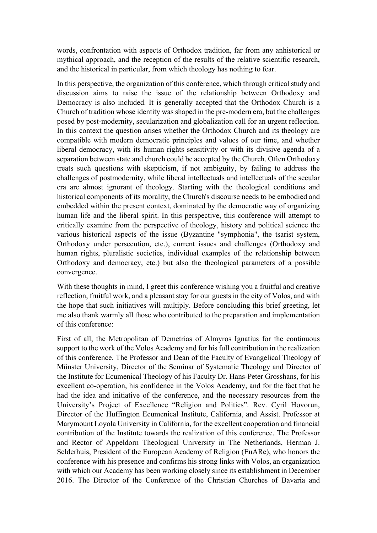words, confrontation with aspects of Orthodox tradition, far from any anhistorical or mythical approach, and the reception of the results of the relative scientific research, and the historical in particular, from which theology has nothing to fear.

In this perspective, the organization of this conference, which through critical study and discussion aims to raise the issue of the relationship between Orthodoxy and Democracy is also included. It is generally accepted that the Orthodox Church is a Church of tradition whose identity was shaped in the pre-modern era, but the challenges posed by post-modernity, secularization and globalization call for an urgent reflection. In this context the question arises whether the Orthodox Church and its theology are compatible with modern democratic principles and values of our time, and whether liberal democracy, with its human rights sensitivity or with its divisive agenda of a separation between state and church could be accepted by the Church. Often Orthodoxy treats such questions with skepticism, if not ambiguity, by failing to address the challenges of postmodernity, while liberal intellectuals and intellectuals of the secular era are almost ignorant of theology. Starting with the theological conditions and historical components of its morality, the Church's discourse needs to be embodied and embedded within the present context, dominated by the democratic way of organizing human life and the liberal spirit. In this perspective, this conference will attempt to critically examine from the perspective of theology, history and political science the various historical aspects of the issue (Byzantine "symphonia", the tsarist system, Orthodoxy under persecution, etc.), current issues and challenges (Orthodoxy and human rights, pluralistic societies, individual examples of the relationship between Orthodoxy and democracy, etc.) but also the theological parameters of a possible convergence.

With these thoughts in mind, I greet this conference wishing you a fruitful and creative reflection, fruitful work, and a pleasant stay for our guests in the city of Volos, and with the hope that such initiatives will multiply. Before concluding this brief greeting, let me also thank warmly all those who contributed to the preparation and implementation of this conference:

First of all, the Metropolitan of Demetrias of Almyros Ignatius for the continuous support to the work of the Volos Academy and for his full contribution in the realization of this conference. The Professor and Dean of the Faculty of Evangelical Theology of Münster University, Director of the Seminar of Systematic Theology and Director of the Institute for Ecumenical Theology of his Faculty Dr. Hans-Peter Grosshans, for his excellent co-operation, his confidence in the Volos Academy, and for the fact that he had the idea and initiative of the conference, and the necessary resources from the University's Project of Excellence "Religion and Politics". Rev. Cyril Hovorun, Director of the Huffington Ecumenical Institute, California, and Assist. Professor at Marymount Loyola University in California, for the excellent cooperation and financial contribution of the Institute towards the realization of this conference. The Professor and Rector of Appeldorn Theological University in The Netherlands, Herman J. Selderhuis, President of the European Academy of Religion (EuARe), who honors the conference with his presence and confirms his strong links with Volos, an organization with which our Academy has been working closely since its establishment in December 2016. The Director of the Conference of the Christian Churches of Bavaria and